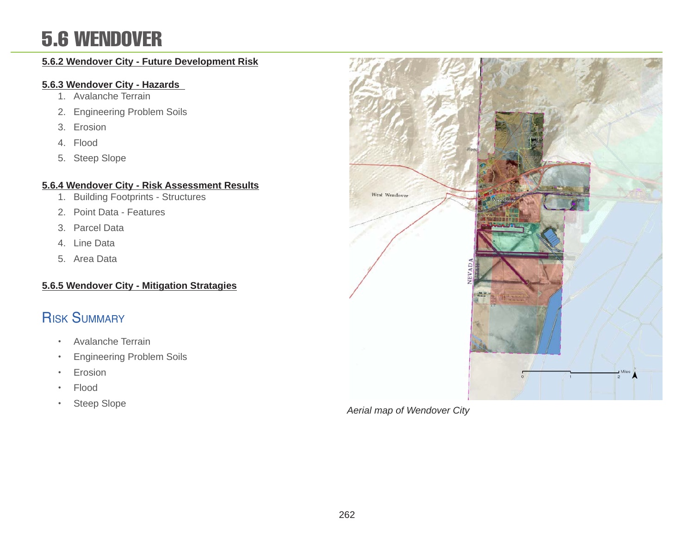### 5.6 WENDOVER

#### **5.6.2 Wendover City - Future Development Risk**

#### **5.6.3 Wendover City - Hazards**

- 1. Avalanche Terrain
- 2. Engineering Problem Soils
- 3. Erosion
- 4. Flood
- 5. Steep Slope

#### **5.6.4 Wendover City - Risk Assessment Results**

- 1. Building Footprints Structures
- 2. Point Data Features
- 3. Parcel Data
- 4. Line Data
- 5. Area Data

#### **5.6.5 Wendover City - Mitigation Stratagies**

### Risk Summary

- Avalanche Terrain
- Engineering Problem Soils
- Erosion
- Flood
- Steep Slope



*Aerial map of Wendover City*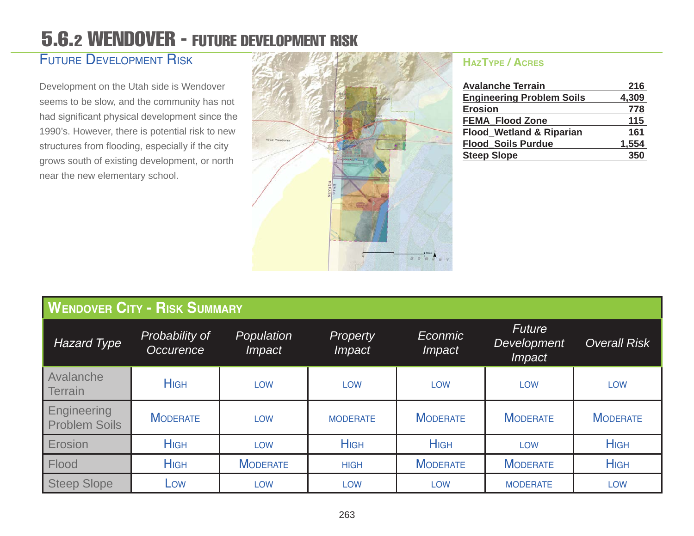### 5.6.2 WENDOVER - FUTURE DEVELOPMENT RISK

#### Future Development Risk

Development on the Utah side is Wendover seems to be slow, and the community has not had significant physical development since the 1990's. However, there is potential risk to new structures from flooding, especially if the city grows south of existing development, or north near the new elementary school.



#### **HazType / Acres**

| <b>Avalanche Terrain</b>            | 216   |
|-------------------------------------|-------|
| <b>Engineering Problem Soils</b>    | 4,309 |
| <b>Erosion</b>                      | 778   |
| <b>FEMA Flood Zone</b>              | 115   |
| <b>Flood_Wetland &amp; Riparian</b> | 161   |
| <b>Flood Soils Purdue</b>           | 1,554 |
| <b>Steep Slope</b>                  | 350   |

| <b>WENDOVER CITY - RISK SUMMARY</b> |                                    |                             |                                  |                                 |                                                      |                     |
|-------------------------------------|------------------------------------|-----------------------------|----------------------------------|---------------------------------|------------------------------------------------------|---------------------|
| <b>Hazard Type</b>                  | Probability of<br><b>Occurence</b> | Population<br><i>Impact</i> | <b>Property</b><br><i>Impact</i> | <b>Econmic</b><br><i>Impact</i> | <b>Future</b><br><b>Development</b><br><i>Impact</i> | <b>Overall Risk</b> |
| Avalanche<br><b>Terrain</b>         | <b>H</b> IGH                       | <b>LOW</b>                  | <b>LOW</b>                       | <b>LOW</b>                      | <b>LOW</b>                                           | <b>LOW</b>          |
| Engineering<br><b>Problem Soils</b> | <b>MODERATE</b>                    | <b>LOW</b>                  | <b>MODERATE</b>                  | <b>MODERATE</b>                 | <b>MODERATE</b>                                      | <b>MODERATE</b>     |
| Erosion                             | <b>HIGH</b>                        | <b>LOW</b>                  | <b>HIGH</b>                      | <b>HIGH</b>                     | <b>LOW</b>                                           | <b>HIGH</b>         |
| Flood                               | <b>HIGH</b>                        | <b>MODERATE</b>             | <b>HIGH</b>                      | <b>MODERATE</b>                 | <b>MODERATE</b>                                      | <b>HIGH</b>         |
| <b>Steep Slope</b>                  | Low                                | <b>LOW</b>                  | <b>LOW</b>                       | <b>LOW</b>                      | <b>MODERATE</b>                                      | <b>LOW</b>          |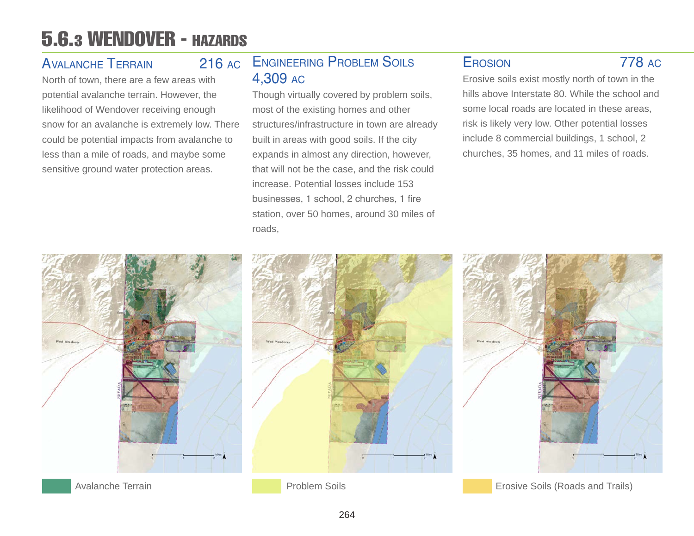### 5.6.3 WENDOVER - HAZARDS

### Avalanche Terrain 216 ac

North of town, there are a few areas with potential avalanche terrain. However, the likelihood of Wendover receiving enough snow for an avalanche is extremely low. There could be potential impacts from avalanche to less than a mile of roads, and maybe some sensitive ground water protection areas.

### Engineering Problem Soils 4,309 ac

Though virtually covered by problem soils, most of the existing homes and other structures/infrastructure in town are already built in areas with good soils. If the city expands in almost any direction, however, that will not be the case, and the risk could increase. Potential losses include 153 businesses, 1 school, 2 churches, 1 fire station, over 50 homes, around 30 miles of roads,

### Erosion 778 ac

Erosive soils exist mostly north of town in the hills above Interstate 80. While the school and some local roads are located in these areas, risk is likely very low. Other potential losses include 8 commercial buildings, 1 school, 2 churches, 35 homes, and 11 miles of roads.

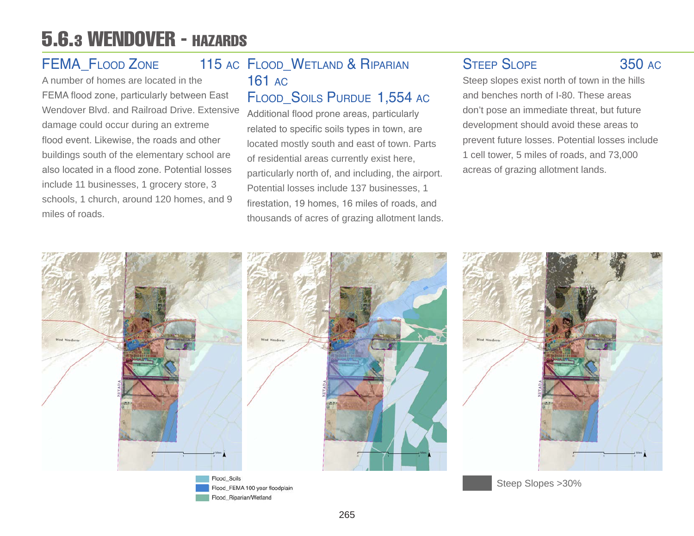### 5.6.3 WENDOVER - HAZARDS

### FEMA FLOOD ZONE

A number of homes are located in the FEMA flood zone, particularly between East Wendover Blvd. and Railroad Drive. Extensive damage could occur during an extreme flood event. Likewise, the roads and other buildings south of the elementary school are also located in a flood zone. Potential losses include 11 businesses, 1 grocery store, 3 schools, 1 church, around 120 homes, and 9 miles of roads.

### 115 AC FLOOD WETLAND & RIPARIAN 161 ac

### FLOOD SOILS PURDUE 1,554 AC

Additional flood prone areas, particularly related to specific soils types in town, are located mostly south and east of town. Parts of residential areas currently exist here, particularly north of, and including, the airport. Potential losses include 137 businesses, 1 firestation, 19 homes, 16 miles of roads, and thousands of acres of grazing allotment lands.

### STEEP SLOPE 350 AC

Steep slopes exist north of town in the hills and benches north of I-80. These areas don't pose an immediate threat, but future development should avoid these areas to prevent future losses. Potential losses include 1 cell tower, 5 miles of roads, and 73,000 acreas of grazing allotment lands.

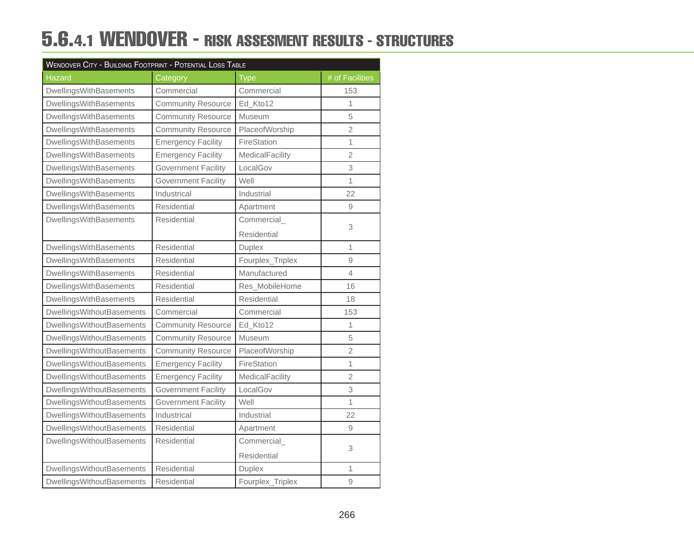### 5.6.4.1 WENDOVER - RISK ASSESMENT RESULTS - STRUCTURES

| <b>WENDOVER CITY - BUILDING FOOTPRINT - POTENTIAL LOSS TABLE</b> |                            |                    |                 |  |  |
|------------------------------------------------------------------|----------------------------|--------------------|-----------------|--|--|
| <b>Hazard</b>                                                    | Category                   | <b>Type</b>        | # of Facilities |  |  |
| DwellingsWithBasements                                           | Commercial                 | Commercial         | 153             |  |  |
| DwellingsWithBasements                                           | <b>Community Resource</b>  | Ed_Kto12           | 1               |  |  |
| DwellingsWithBasements                                           | <b>Community Resource</b>  | Museum             | 5               |  |  |
| DwellingsWithBasements                                           | <b>Community Resource</b>  | PlaceofWorship     | $\overline{2}$  |  |  |
| DwellingsWithBasements                                           | <b>Emergency Facility</b>  | FireStation        | $\mathbf{1}$    |  |  |
| DwellingsWithBasements                                           | <b>Emergency Facility</b>  | MedicalFacility    | $\overline{2}$  |  |  |
| DwellingsWithBasements                                           | <b>Government Facility</b> | LocalGov           | 3               |  |  |
| DwellingsWithBasements                                           | <b>Government Facility</b> | Well               | 1               |  |  |
| DwellingsWithBasements                                           | Industrical                | Industrial         | 22              |  |  |
| DwellingsWithBasements                                           | Residential                | Apartment          | 9               |  |  |
| DwellingsWithBasements                                           | Residential                | Commercial         |                 |  |  |
|                                                                  |                            | <b>Residential</b> | 3               |  |  |
| DwellingsWithBasements                                           | Residential                | <b>Duplex</b>      | $\mathbf{1}$    |  |  |
| DwellingsWithBasements                                           | Residential                | Fourplex_Triplex   | 9               |  |  |
| DwellingsWithBasements                                           | Residential                | Manufactured       | 4               |  |  |
| DwellingsWithBasements                                           | <b>Residential</b>         | Res_MobileHome     | 16              |  |  |
| DwellingsWithBasements                                           | Residential                | Residential        | 18              |  |  |
| DwellingsWithoutBasements                                        | Commercial                 | Commercial         | 153             |  |  |
| <b>DwellingsWithoutBasements</b>                                 | <b>Community Resource</b>  | Ed_Kto12           | 1               |  |  |
| <b>DwellingsWithoutBasements</b>                                 | <b>Community Resource</b>  | Museum             | 5               |  |  |
| DwellingsWithoutBasements                                        | <b>Community Resource</b>  | PlaceofWorship     | $\overline{2}$  |  |  |
| <b>DwellingsWithoutBasements</b>                                 | <b>Emergency Facility</b>  | FireStation        | 1               |  |  |
| <b>DwellingsWithoutBasements</b>                                 | <b>Emergency Facility</b>  | MedicalFacility    | $\overline{2}$  |  |  |
| DwellingsWithoutBasements                                        | <b>Government Facility</b> | LocalGov           | 3               |  |  |
| DwellingsWithoutBasements                                        | <b>Government Facility</b> | Well               | 1               |  |  |
| DwellingsWithoutBasements                                        | Industrical                | Industrial         | 22              |  |  |
| <b>DwellingsWithoutBasements</b>                                 | Residential                | Apartment          | 9               |  |  |
| DwellingsWithoutBasements                                        | Residential                | Commercial         |                 |  |  |
|                                                                  |                            | Residential        | 3               |  |  |
| DwellingsWithoutBasements                                        | Residential                | Duplex             | 1               |  |  |
| <b>DwellingsWithoutBasements</b>                                 | <b>Residential</b>         | Fourplex_Triplex   | 9               |  |  |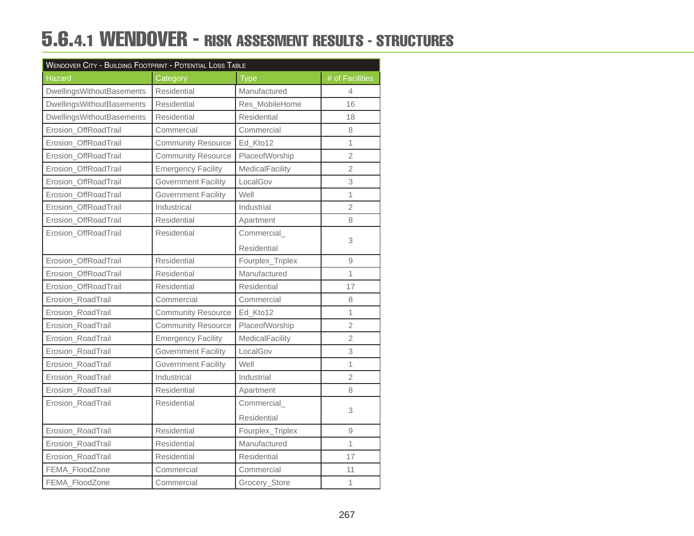### 5.6.4.1 WENDOVER - RISK ASSESMENT RESULTS - STRUCTURES

| WENDOVER CITY - BUILDING FOOTPRINT - POTENTIAL LOSS TABLE |                            |                    |                          |  |  |
|-----------------------------------------------------------|----------------------------|--------------------|--------------------------|--|--|
| Hazard                                                    | Category                   | <b>Type</b>        | # of Facilities          |  |  |
| <b>DwellingsWithoutBasements</b>                          | Residential                | Manufactured       | $\overline{\mathcal{A}}$ |  |  |
| <b>DwellingsWithoutBasements</b>                          | Residential                | Res_MobileHome     | 16                       |  |  |
| DwellingsWithoutBasements                                 | Residential                | Residential        | 18                       |  |  |
| Erosion_OffRoadTrail                                      | Commercial                 | Commercial         | 8                        |  |  |
| Erosion_OffRoadTrail                                      | <b>Community Resource</b>  | Ed_Kto12           | 1                        |  |  |
| Erosion_OffRoadTrail                                      | <b>Community Resource</b>  | PlaceofWorship     | $\overline{2}$           |  |  |
| Erosion_OffRoadTrail                                      | <b>Emergency Facility</b>  | MedicalFacility    | $\overline{2}$           |  |  |
| Erosion_OffRoadTrail                                      | <b>Government Facility</b> | LocalGov           | 3                        |  |  |
| Erosion_OffRoadTrail                                      | <b>Government Facility</b> | Well               | $\overline{1}$           |  |  |
| Erosion_OffRoadTrail                                      | Industrical                | Industrial         | $\overline{2}$           |  |  |
| Erosion_OffRoadTrail                                      | Residential                | Apartment          | 8                        |  |  |
| Erosion_OffRoadTrail                                      | <b>Residential</b>         | Commercial         |                          |  |  |
|                                                           |                            | <b>Residential</b> | 3                        |  |  |
| Erosion_OffRoadTrail                                      | Residential                | Fourplex_Triplex   | 9                        |  |  |
| Erosion_OffRoadTrail                                      | Residential                | Manufactured       | $\overline{1}$           |  |  |
| Erosion_OffRoadTrail                                      | Residential                | Residential        | 17                       |  |  |
| Erosion_RoadTrail                                         | Commercial                 | Commercial         | 8                        |  |  |
| Erosion_RoadTrail                                         | <b>Community Resource</b>  | Ed_Kto12           | 1                        |  |  |
| Erosion_RoadTrail                                         | <b>Community Resource</b>  | PlaceofWorship     | $\overline{2}$           |  |  |
| Erosion_RoadTrail                                         | <b>Emergency Facility</b>  | MedicalFacility    | $\overline{2}$           |  |  |
| Erosion_RoadTrail                                         | <b>Government Facility</b> | LocalGov           | 3                        |  |  |
| Erosion_RoadTrail                                         | <b>Government Facility</b> | Well               | $\overline{1}$           |  |  |
| Erosion_RoadTrail                                         | Industrical                | Industrial         | $\overline{2}$           |  |  |
| Erosion_RoadTrail                                         | Residential                | Apartment          | 8                        |  |  |
| Erosion_RoadTrail                                         | Residential                | Commercial         |                          |  |  |
|                                                           |                            | Residential        | 3                        |  |  |
| Erosion_RoadTrail                                         | <b>Residential</b>         | Fourplex_Triplex   | 9                        |  |  |
| Erosion_RoadTrail                                         | Residential                | Manufactured       | $\overline{1}$           |  |  |
| Erosion_RoadTrail                                         | Residential                | Residential        | 17                       |  |  |
| FEMA_FloodZone                                            | Commercial                 | Commercial         | 11                       |  |  |
| FEMA_FloodZone                                            | Commercial                 | Grocery_Store      | $\overline{1}$           |  |  |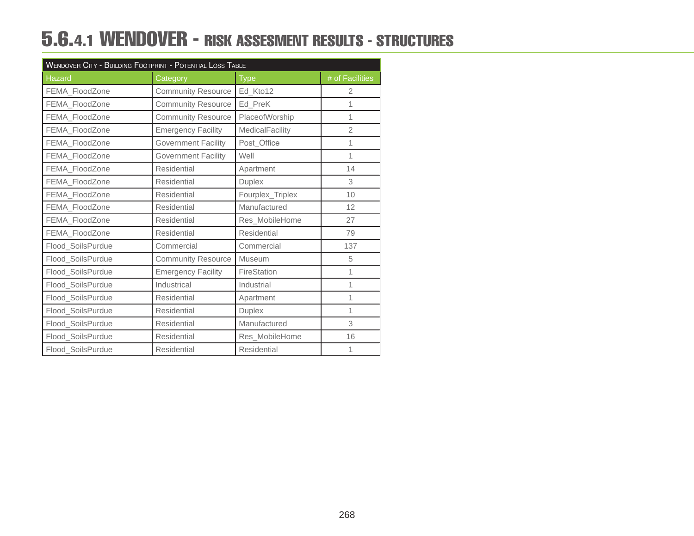### 5.6.4.1 WENDOVER - RISK ASSESMENT RESULTS - STRUCTURES

| WENDOVER CITY - BUILDING FOOTPRINT - POTENTIAL LOSS TABLE |                            |                    |                 |  |
|-----------------------------------------------------------|----------------------------|--------------------|-----------------|--|
| <b>Hazard</b>                                             | Category                   | <b>Type</b>        | # of Facilities |  |
| FEMA FloodZone                                            | <b>Community Resource</b>  | Ed_Kto12           | 2               |  |
| FEMA_FloodZone                                            | <b>Community Resource</b>  | Ed_PreK            | 1               |  |
| FEMA_FloodZone                                            | <b>Community Resource</b>  | PlaceofWorship     | 1               |  |
| FEMA FloodZone                                            | <b>Emergency Facility</b>  | MedicalFacility    | $\overline{2}$  |  |
| FEMA_FloodZone                                            | <b>Government Facility</b> | Post Office        | 1               |  |
| FEMA_FloodZone                                            | <b>Government Facility</b> | Well               | 1               |  |
| FEMA FloodZone                                            | Residential                | Apartment          | 14              |  |
| FEMA_FloodZone                                            | <b>Residential</b>         | <b>Duplex</b>      | 3               |  |
| FEMA_FloodZone                                            | <b>Residential</b>         | Fourplex_Triplex   | 10              |  |
| FEMA FloodZone                                            | <b>Residential</b>         | Manufactured       | 12              |  |
| FEMA_FloodZone                                            | <b>Residential</b>         | Res_MobileHome     | 27              |  |
| FEMA_FloodZone                                            | Residential                | <b>Residential</b> | 79              |  |
| Flood_SoilsPurdue                                         | Commercial                 | Commercial         | 137             |  |
| Flood_SoilsPurdue                                         | <b>Community Resource</b>  | Museum             | 5               |  |
| Flood_SoilsPurdue                                         | <b>Emergency Facility</b>  | FireStation        | 1               |  |
| Flood SoilsPurdue                                         | Industrical                | Industrial         | 1               |  |
| Flood_SoilsPurdue                                         | Residential                | Apartment          | 1               |  |
| Flood_SoilsPurdue                                         | <b>Residential</b>         | <b>Duplex</b>      | 1               |  |
| Flood_SoilsPurdue                                         | <b>Residential</b>         | Manufactured       | 3               |  |
| Flood_SoilsPurdue                                         | <b>Residential</b>         | Res_MobileHome     | 16              |  |
| Flood_SoilsPurdue                                         | <b>Residential</b>         | Residential        | 1               |  |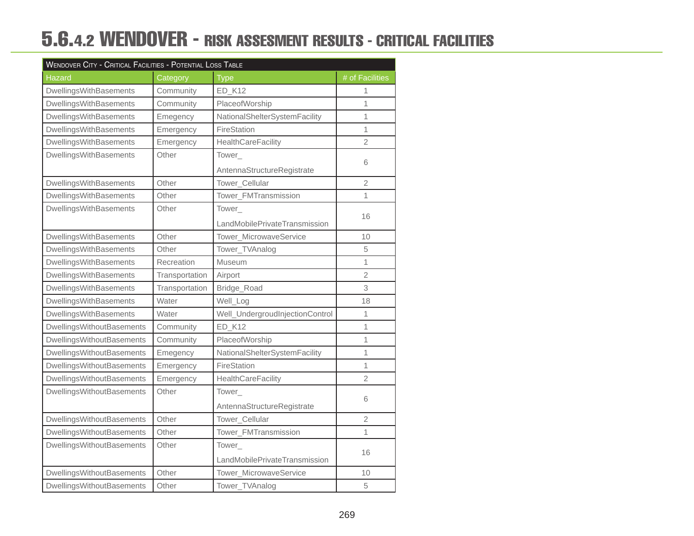### 5.6.4.2 WENDOVER - RISK ASSESMENT RESULTS - CRITICAL FACILITIES

| <b>WENDOVER CITY - CRITICAL FACILITIES - POTENTIAL LOSS TABLE</b> |                |                                 |                 |  |  |
|-------------------------------------------------------------------|----------------|---------------------------------|-----------------|--|--|
| <b>Hazard</b>                                                     | Category       | <b>Type</b>                     | # of Facilities |  |  |
| DwellingsWithBasements                                            | Community      | <b>ED_K12</b>                   | 1               |  |  |
| DwellingsWithBasements                                            | Community      | PlaceofWorship                  | 1               |  |  |
| DwellingsWithBasements                                            | Emegency       | NationalShelterSystemFacility   | 1               |  |  |
| DwellingsWithBasements                                            | Emergency      | FireStation                     | 1               |  |  |
| DwellingsWithBasements                                            | Emergency      | HealthCareFacility              | $\overline{2}$  |  |  |
| DwellingsWithBasements                                            | Other          | Tower_                          |                 |  |  |
|                                                                   |                | AntennaStructureRegistrate      | 6               |  |  |
| DwellingsWithBasements                                            | Other          | Tower_Cellular                  | $\overline{2}$  |  |  |
| DwellingsWithBasements                                            | Other          | Tower_FMTransmission            | 1               |  |  |
| DwellingsWithBasements                                            | Other          | Tower_                          |                 |  |  |
|                                                                   |                | LandMobilePrivateTransmission   | 16              |  |  |
| DwellingsWithBasements                                            | Other          | Tower MicrowaveService          | 10              |  |  |
| DwellingsWithBasements                                            | Other          | Tower_TVAnalog                  | 5               |  |  |
| DwellingsWithBasements                                            | Recreation     | Museum                          | 1               |  |  |
| DwellingsWithBasements                                            | Transportation | Airport                         | $\overline{2}$  |  |  |
| DwellingsWithBasements                                            | Transportation | Bridge_Road                     | 3               |  |  |
| DwellingsWithBasements                                            | Water          | Well_Log                        | 18              |  |  |
| DwellingsWithBasements                                            | Water          | Well_UndergroudInjectionControl | $\mathbf{1}$    |  |  |
| <b>DwellingsWithoutBasements</b>                                  | Community      | <b>ED_K12</b>                   | 1               |  |  |
| <b>DwellingsWithoutBasements</b>                                  | Community      | PlaceofWorship                  | 1               |  |  |
| <b>DwellingsWithoutBasements</b>                                  | Emegency       | NationalShelterSystemFacility   | 1               |  |  |
| <b>DwellingsWithoutBasements</b>                                  | Emergency      | FireStation                     | 1               |  |  |
| DwellingsWithoutBasements                                         | Emergency      | HealthCareFacility              | 2               |  |  |
| <b>DwellingsWithoutBasements</b>                                  | Other          | Tower_                          |                 |  |  |
|                                                                   |                | AntennaStructureRegistrate      | 6               |  |  |
| DwellingsWithoutBasements                                         | Other          | Tower_Cellular                  | $\overline{2}$  |  |  |
| <b>DwellingsWithoutBasements</b>                                  | Other          | Tower_FMTransmission            | 1               |  |  |
| DwellingsWithoutBasements                                         | Other          | Tower                           |                 |  |  |
|                                                                   |                | LandMobilePrivateTransmission   | 16              |  |  |
| <b>DwellingsWithoutBasements</b>                                  | Other          | Tower_MicrowaveService          | 10              |  |  |
| <b>DwellingsWithoutBasements</b>                                  | Other          | Tower_TVAnalog                  | 5               |  |  |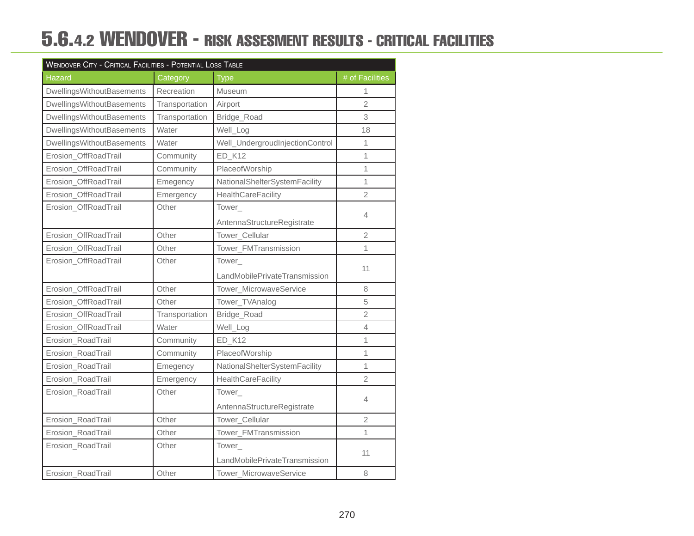### 5.6.4.2 WENDOVER - RISK ASSESMENT RESULTS - CRITICAL FACILITIES

| <b>WENDOVER CITY - CRITICAL FACILITIES - POTENTIAL LOSS TABLE</b> |                |                                 |                 |  |  |
|-------------------------------------------------------------------|----------------|---------------------------------|-----------------|--|--|
| <b>Hazard</b>                                                     | Category       | <b>Type</b>                     | # of Facilities |  |  |
| <b>DwellingsWithoutBasements</b>                                  | Recreation     | Museum                          | 1               |  |  |
| DwellingsWithoutBasements                                         | Transportation | Airport                         | $\overline{2}$  |  |  |
| <b>DwellingsWithoutBasements</b>                                  | Transportation | Bridge_Road                     | 3               |  |  |
| <b>DwellingsWithoutBasements</b>                                  | Water          | Well_Log                        | 18              |  |  |
| <b>DwellingsWithoutBasements</b>                                  | Water          | Well_UndergroudInjectionControl | 1               |  |  |
| Erosion_OffRoadTrail                                              | Community      | ED_K12                          | 1               |  |  |
| Erosion_OffRoadTrail                                              | Community      | PlaceofWorship                  | 1               |  |  |
| Erosion_OffRoadTrail                                              | Emegency       | NationalShelterSystemFacility   | 1               |  |  |
| Erosion_OffRoadTrail                                              | Emergency      | <b>HealthCareFacility</b>       | $\overline{2}$  |  |  |
| Erosion_OffRoadTrail                                              | Other          | Tower_                          |                 |  |  |
|                                                                   |                | AntennaStructureRegistrate      | 4               |  |  |
| Erosion_OffRoadTrail                                              | Other          | Tower_Cellular                  | 2               |  |  |
| Erosion_OffRoadTrail                                              | Other          | Tower_FMTransmission            | 1               |  |  |
| Erosion_OffRoadTrail                                              | Other          | Tower_                          |                 |  |  |
|                                                                   |                | LandMobilePrivateTransmission   | 11              |  |  |
| Erosion_OffRoadTrail                                              | Other          | Tower_MicrowaveService          | 8               |  |  |
| Erosion OffRoadTrail                                              | Other          | Tower_TVAnalog                  | 5               |  |  |
| Erosion_OffRoadTrail                                              | Transportation | Bridge_Road                     | $\overline{2}$  |  |  |
| Erosion_OffRoadTrail                                              | Water          | Well_Log                        | $\overline{4}$  |  |  |
| Erosion_RoadTrail                                                 | Community      | ED_K12                          | 1               |  |  |
| Erosion_RoadTrail                                                 | Community      | PlaceofWorship                  | 1               |  |  |
| Erosion_RoadTrail                                                 | Emegency       | NationalShelterSystemFacility   | 1               |  |  |
| Erosion_RoadTrail                                                 | Emergency      | <b>HealthCareFacility</b>       | $\overline{2}$  |  |  |
| Erosion_RoadTrail                                                 | Other          | Tower_                          |                 |  |  |
|                                                                   |                | AntennaStructureRegistrate      | 4               |  |  |
| Erosion_RoadTrail                                                 | Other          | Tower_Cellular                  | $\overline{2}$  |  |  |
| Erosion_RoadTrail                                                 | Other          | Tower_FMTransmission            | 1               |  |  |
| Erosion_RoadTrail                                                 | Other          | Tower_                          |                 |  |  |
|                                                                   |                | LandMobilePrivateTransmission   | 11              |  |  |
| Erosion RoadTrail                                                 | Other          | Tower_MicrowaveService          | 8               |  |  |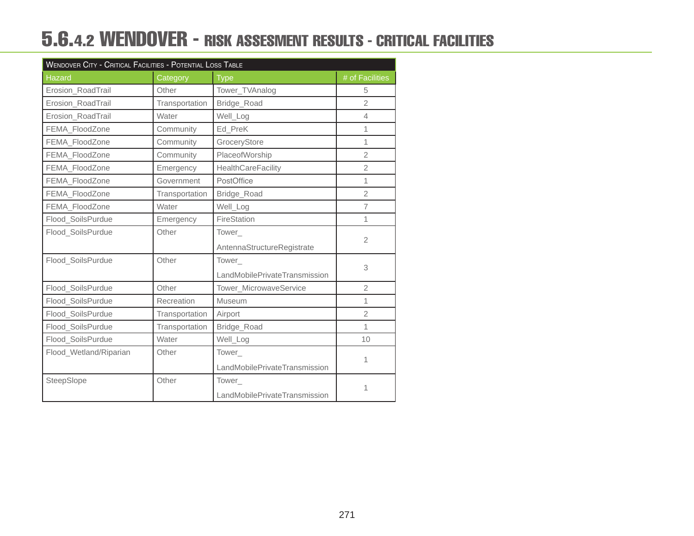### 5.6.4.2 WENDOVER - RISK ASSESMENT RESULTS - CRITICAL FACILITIES

| <b>WENDOVER CITY - CRITICAL FACILITIES - POTENTIAL LOSS TABLE</b> |                |                               |                 |  |  |
|-------------------------------------------------------------------|----------------|-------------------------------|-----------------|--|--|
| <b>Hazard</b>                                                     | Category       | <b>Type</b>                   | # of Facilities |  |  |
| Erosion_RoadTrail                                                 | Other          | Tower_TVAnalog                | 5               |  |  |
| Erosion_RoadTrail                                                 | Transportation | Bridge_Road                   | $\overline{2}$  |  |  |
| Erosion_RoadTrail                                                 | Water          | Well_Log                      | $\overline{4}$  |  |  |
| FEMA_FloodZone                                                    | Community      | Ed PreK                       | 1               |  |  |
| FEMA_FloodZone                                                    | Community      | GroceryStore                  | 1               |  |  |
| FEMA_FloodZone                                                    | Community      | PlaceofWorship                | $\overline{2}$  |  |  |
| FEMA_FloodZone                                                    | Emergency      | <b>HealthCareFacility</b>     | $\overline{2}$  |  |  |
| FEMA_FloodZone                                                    | Government     | PostOffice                    | 1               |  |  |
| FEMA_FloodZone                                                    | Transportation | Bridge_Road                   | $\overline{2}$  |  |  |
| FEMA_FloodZone                                                    | Water          | Well_Log                      | $\overline{7}$  |  |  |
| Flood_SoilsPurdue                                                 | Emergency      | FireStation                   | 1               |  |  |
| Flood_SoilsPurdue                                                 | Other          | Tower                         |                 |  |  |
|                                                                   |                | AntennaStructureRegistrate    | $\overline{2}$  |  |  |
| Flood_SoilsPurdue                                                 | Other          | Tower_                        |                 |  |  |
|                                                                   |                | LandMobilePrivateTransmission | 3               |  |  |
| Flood_SoilsPurdue                                                 | Other          | Tower_MicrowaveService        | $\overline{2}$  |  |  |
| Flood_SoilsPurdue                                                 | Recreation     | Museum                        | 1               |  |  |
| Flood_SoilsPurdue                                                 | Transportation | Airport                       | $\overline{2}$  |  |  |
| Flood_SoilsPurdue                                                 | Transportation | Bridge_Road                   | 1               |  |  |
| Flood_SoilsPurdue                                                 | Water          | Well_Log                      | 10              |  |  |
| Flood_Wetland/Riparian                                            | Other          | Tower_                        |                 |  |  |
|                                                                   |                | LandMobilePrivateTransmission | 1               |  |  |
| SteepSlope                                                        | Other          | Tower                         |                 |  |  |
|                                                                   |                | LandMobilePrivateTransmission |                 |  |  |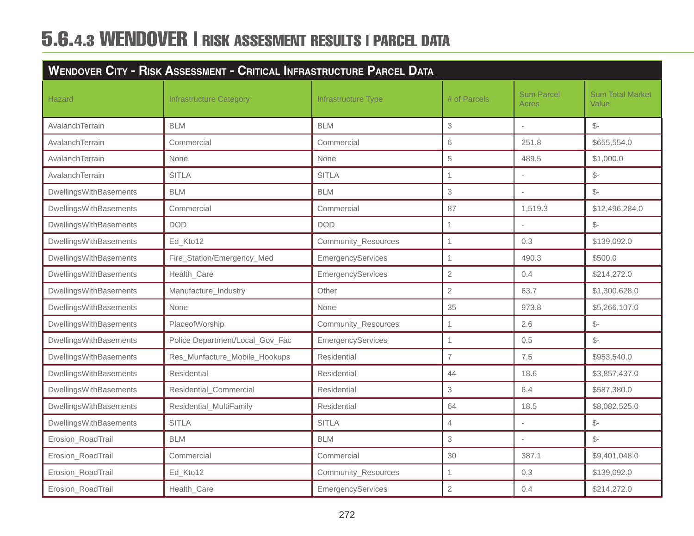# 5.6.4.3 WENDOVER | RISK ASSESMENT RESULTS | PARCEL DATA

|                        | <b>WENDOVER CITY - RISK ASSESSMENT - CRITICAL INFRASTRUCTURE PARCEL DATA</b> |                     |                |                            |                                  |  |
|------------------------|------------------------------------------------------------------------------|---------------------|----------------|----------------------------|----------------------------------|--|
| Hazard                 | <b>Infrastructure Category</b>                                               | Infrastructure Type | # of Parcels   | <b>Sum Parcel</b><br>Acres | <b>Sum Total Market</b><br>Value |  |
| AvalanchTerrain        | <b>BLM</b>                                                                   | <b>BLM</b>          | 3              |                            | $\mathcal{S}$ -                  |  |
| AvalanchTerrain        | Commercial                                                                   | Commercial          | 6              | 251.8                      | \$655,554.0                      |  |
| AvalanchTerrain        | None                                                                         | None                | 5              | 489.5                      | \$1,000.0                        |  |
| AvalanchTerrain        | <b>SITLA</b>                                                                 | <b>SITLA</b>        | $\mathbf{1}$   |                            | $\mathcal{S}$ -                  |  |
| DwellingsWithBasements | <b>BLM</b>                                                                   | <b>BLM</b>          | 3              |                            | $S-$                             |  |
| DwellingsWithBasements | Commercial                                                                   | Commercial          | 87             | 1,519.3                    | \$12,496,284.0                   |  |
| DwellingsWithBasements | <b>DOD</b>                                                                   | <b>DOD</b>          | $\mathbf 1$    |                            | $\mathcal{S}$ -                  |  |
| DwellingsWithBasements | Ed_Kto12                                                                     | Community_Resources | $\mathbf{1}$   | 0.3                        | \$139,092.0                      |  |
| DwellingsWithBasements | Fire_Station/Emergency_Med                                                   | EmergencyServices   | $\mathbf{1}$   | 490.3                      | \$500.0                          |  |
| DwellingsWithBasements | Health Care                                                                  | EmergencyServices   | $\overline{2}$ | 0.4                        | \$214,272.0                      |  |
| DwellingsWithBasements | Manufacture_Industry                                                         | Other               | $\overline{2}$ | 63.7                       | \$1,300,628.0                    |  |
| DwellingsWithBasements | None                                                                         | None                | 35             | 973.8                      | \$5,266,107.0                    |  |
| DwellingsWithBasements | PlaceofWorship                                                               | Community_Resources | $\mathbf{1}$   | 2.6                        | $\mathcal{S}$ -                  |  |
| DwellingsWithBasements | Police Department/Local_Gov_Fac                                              | EmergencyServices   | $\mathbf{1}$   | 0.5                        | $\mathbb{S}^-$                   |  |
| DwellingsWithBasements | Res_Munfacture_Mobile_Hookups                                                | Residential         | $\overline{7}$ | 7.5                        | \$953,540.0                      |  |
| DwellingsWithBasements | Residential                                                                  | Residential         | 44             | 18.6                       | \$3,857,437.0                    |  |
| DwellingsWithBasements | Residential_Commercial                                                       | Residential         | 3              | 6.4                        | \$587,380.0                      |  |
| DwellingsWithBasements | Residential_MultiFamily                                                      | Residential         | 64             | 18.5                       | \$8,082,525.0                    |  |
| DwellingsWithBasements | <b>SITLA</b>                                                                 | <b>SITLA</b>        | $\overline{4}$ |                            | $\frac{2}{2}$                    |  |
| Erosion_RoadTrail      | <b>BLM</b>                                                                   | <b>BLM</b>          | 3              |                            | $\mathbb{S}$ -                   |  |
| Erosion_RoadTrail      | Commercial                                                                   | Commercial          | 30             | 387.1                      | \$9,401,048.0                    |  |
| Erosion_RoadTrail      | Ed_Kto12                                                                     | Community_Resources | $\mathbf{1}$   | 0.3                        | \$139,092.0                      |  |
| Erosion_RoadTrail      | Health_Care                                                                  | EmergencyServices   | $\mathbf{2}$   | 0.4                        | \$214,272.0                      |  |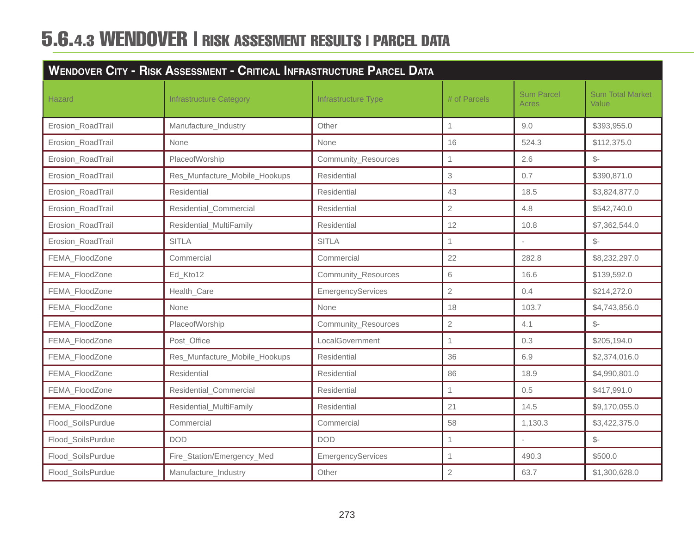# 5.6.4.3 WENDOVER | RISK ASSESMENT RESULTS | PARCEL DATA

| <b>WENDOVER CITY - RISK ASSESSMENT - CRITICAL INFRASTRUCTURE PARCEL DATA</b> |                                |                     |                |                            |                                  |
|------------------------------------------------------------------------------|--------------------------------|---------------------|----------------|----------------------------|----------------------------------|
| <b>Hazard</b>                                                                | <b>Infrastructure Category</b> | Infrastructure Type | # of Parcels   | <b>Sum Parcel</b><br>Acres | <b>Sum Total Market</b><br>Value |
| Erosion_RoadTrail                                                            | Manufacture_Industry           | Other               | $\mathbf{1}$   | 9.0                        | \$393,955.0                      |
| Erosion_RoadTrail                                                            | None                           | None                | 16             | 524.3                      | \$112,375.0                      |
| Erosion_RoadTrail                                                            | PlaceofWorship                 | Community_Resources | $\mathbf{1}$   | 2.6                        | $S-$                             |
| Erosion_RoadTrail                                                            | Res_Munfacture_Mobile_Hookups  | Residential         | 3              | 0.7                        | \$390,871.0                      |
| Erosion_RoadTrail                                                            | Residential                    | Residential         | 43             | 18.5                       | \$3,824,877.0                    |
| Erosion_RoadTrail                                                            | Residential_Commercial         | Residential         | $\overline{2}$ | 4.8                        | \$542,740.0                      |
| Erosion_RoadTrail                                                            | Residential_MultiFamily        | Residential         | 12             | 10.8                       | \$7,362,544.0                    |
| Erosion_RoadTrail                                                            | <b>SITLA</b>                   | <b>SITLA</b>        | $\mathbf{1}$   | $\overline{\phantom{a}}$   | $\mathcal{S}$ -                  |
| FEMA_FloodZone                                                               | Commercial                     | Commercial          | 22             | 282.8                      | \$8,232,297.0                    |
| FEMA_FloodZone                                                               | Ed_Kto12                       | Community_Resources | 6              | 16.6                       | \$139,592.0                      |
| FEMA_FloodZone                                                               | Health_Care                    | EmergencyServices   | $\overline{2}$ | 0.4                        | \$214,272.0                      |
| FEMA_FloodZone                                                               | None                           | None                | 18             | 103.7                      | \$4,743,856.0                    |
| FEMA_FloodZone                                                               | PlaceofWorship                 | Community_Resources | $\mathbf{2}$   | 4.1                        | $\mathcal{S}$ -                  |
| FEMA_FloodZone                                                               | Post_Office                    | LocalGovernment     | $\mathbf{1}$   | 0.3                        | \$205,194.0                      |
| FEMA_FloodZone                                                               | Res_Munfacture_Mobile_Hookups  | Residential         | 36             | 6.9                        | \$2,374,016.0                    |
| FEMA_FloodZone                                                               | Residential                    | Residential         | 86             | 18.9                       | \$4,990,801.0                    |
| FEMA_FloodZone                                                               | Residential_Commercial         | <b>Residential</b>  | $\mathbf{1}$   | 0.5                        | \$417,991.0                      |
| FEMA_FloodZone                                                               | Residential MultiFamily        | Residential         | 21             | 14.5                       | \$9,170,055.0                    |
| Flood_SoilsPurdue                                                            | Commercial                     | Commercial          | 58             | 1,130.3                    | \$3,422,375.0                    |
| Flood_SoilsPurdue                                                            | <b>DOD</b>                     | <b>DOD</b>          | 1              |                            | $\mathcal{S}$ -                  |
| Flood_SoilsPurdue                                                            | Fire_Station/Emergency_Med     | EmergencyServices   | $\mathbf{1}$   | 490.3                      | \$500.0                          |
| Flood_SoilsPurdue                                                            | Manufacture_Industry           | Other               | $\sqrt{2}$     | 63.7                       | \$1,300,628.0                    |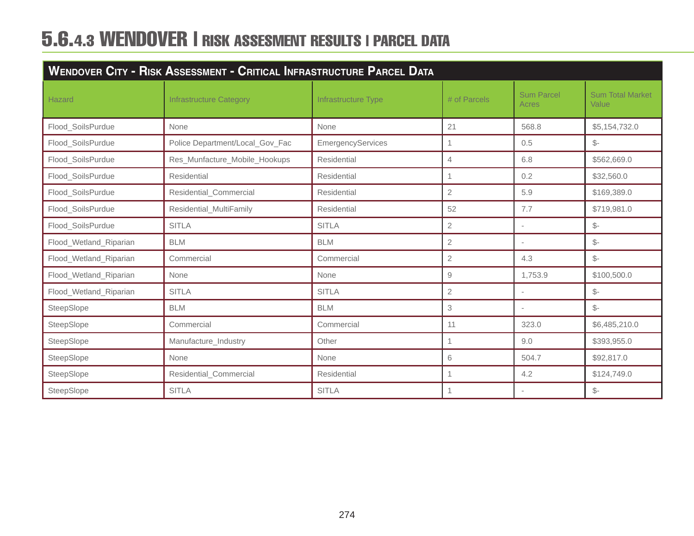# 5.6.4.3 WENDOVER | RISK ASSESMENT RESULTS | PARCEL DATA

| <b>WENDOVER CITY - RISK ASSESSMENT - CRITICAL INFRASTRUCTURE PARCEL DATA</b> |                                 |                     |                |                            |                                  |
|------------------------------------------------------------------------------|---------------------------------|---------------------|----------------|----------------------------|----------------------------------|
| <b>Hazard</b>                                                                | <b>Infrastructure Category</b>  | Infrastructure Type | # of Parcels   | <b>Sum Parcel</b><br>Acres | <b>Sum Total Market</b><br>Value |
| Flood_SoilsPurdue                                                            | None                            | None                | 21             | 568.8                      | \$5,154,732.0                    |
| Flood_SoilsPurdue                                                            | Police Department/Local_Gov_Fac | EmergencyServices   | $\overline{1}$ | 0.5                        | $S-$                             |
| Flood_SoilsPurdue                                                            | Res_Munfacture_Mobile_Hookups   | Residential         | $\overline{4}$ | 6.8                        | \$562,669.0                      |
| Flood_SoilsPurdue                                                            | Residential                     | Residential         |                | 0.2                        | \$32,560.0                       |
| Flood_SoilsPurdue                                                            | Residential_Commercial          | Residential         | $\mathbf{2}$   | 5.9                        | \$169,389.0                      |
| Flood_SoilsPurdue                                                            | Residential_MultiFamily         | Residential         | 52             | 7.7                        | \$719,981.0                      |
| Flood_SoilsPurdue                                                            | <b>SITLA</b>                    | <b>SITLA</b>        | $\overline{2}$ | ٠                          | $\mathcal{S}$ -                  |
| Flood_Wetland_Riparian                                                       | <b>BLM</b>                      | <b>BLM</b>          | $\overline{2}$ | $\overline{\phantom{a}}$   | $\frac{2}{2}$                    |
| Flood_Wetland_Riparian                                                       | Commercial                      | Commercial          | $\overline{2}$ | 4.3                        | $\frac{2}{2}$                    |
| Flood_Wetland_Riparian                                                       | None                            | None                | 9              | 1,753.9                    | \$100,500.0                      |
| Flood_Wetland_Riparian                                                       | <b>SITLA</b>                    | <b>SITLA</b>        | $\sqrt{2}$     |                            | $\mathcal{S}$ -                  |
| SteepSlope                                                                   | <b>BLM</b>                      | <b>BLM</b>          | 3              |                            | $S-$                             |
| SteepSlope                                                                   | Commercial                      | Commercial          | 11             | 323.0                      | \$6,485,210.0                    |
| SteepSlope                                                                   | Manufacture_Industry            | Other               | 1              | 9.0                        | \$393,955.0                      |
| SteepSlope                                                                   | None                            | None                | 6              | 504.7                      | \$92,817.0                       |
| SteepSlope                                                                   | Residential_Commercial          | Residential         |                | 4.2                        | \$124,749.0                      |
| SteepSlope                                                                   | <b>SITLA</b>                    | <b>SITLA</b>        | 1              | $\overline{\phantom{a}}$   | $\frac{2}{2}$                    |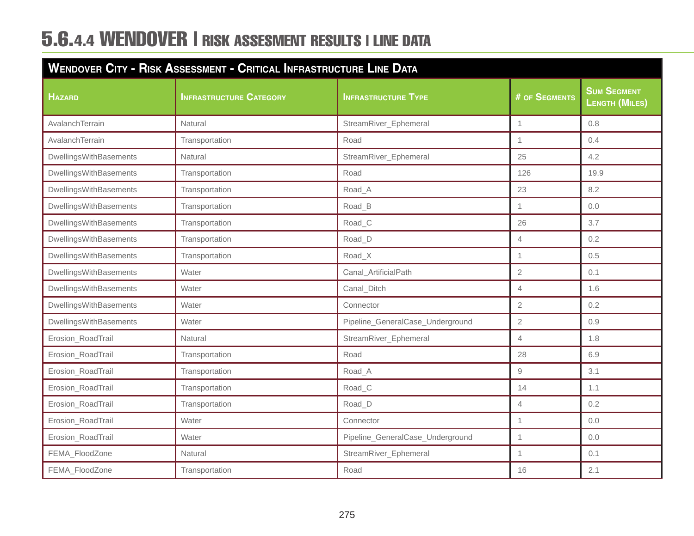# 5.6.4.4 WENDOVER | RISK ASSESMENT RESULTS | LINE DATA

| WENDOVER CITY - RISK ASSESSMENT - CRITICAL INFRASTRUCTURE LINE DATA |                                |                                  |                |                                             |  |
|---------------------------------------------------------------------|--------------------------------|----------------------------------|----------------|---------------------------------------------|--|
| <b>HAZARD</b>                                                       | <b>INFRASTRUCTURE CATEGORY</b> | <b>INFRASTRUCTURE TYPE</b>       | # OF SEGMENTS  | <b>SUM SEGMENT</b><br><b>LENGTH (MILES)</b> |  |
| AvalanchTerrain                                                     | Natural                        | StreamRiver_Ephemeral            | $\mathbf{1}$   | 0.8                                         |  |
| AvalanchTerrain                                                     | Transportation                 | Road                             | $\mathbf{1}$   | 0.4                                         |  |
| DwellingsWithBasements                                              | Natural                        | StreamRiver_Ephemeral            | 25             | 4.2                                         |  |
| DwellingsWithBasements                                              | Transportation                 | Road                             | 126            | 19.9                                        |  |
| DwellingsWithBasements                                              | Transportation                 | Road A                           | 23             | 8.2                                         |  |
| DwellingsWithBasements                                              | Transportation                 | Road_B                           | 1              | 0.0                                         |  |
| DwellingsWithBasements                                              | Transportation                 | Road_C                           | 26             | 3.7                                         |  |
| DwellingsWithBasements                                              | Transportation                 | Road <sub>D</sub>                | $\overline{4}$ | 0.2                                         |  |
| DwellingsWithBasements                                              | Transportation                 | Road <sub>X</sub>                | $\mathbf{1}$   | 0.5                                         |  |
| DwellingsWithBasements                                              | Water                          | Canal_ArtificialPath             | $\overline{2}$ | 0.1                                         |  |
| DwellingsWithBasements                                              | Water                          | Canal_Ditch                      | $\overline{4}$ | 1.6                                         |  |
| DwellingsWithBasements                                              | Water                          | Connector                        | $\overline{2}$ | 0.2                                         |  |
| DwellingsWithBasements                                              | Water                          | Pipeline_GeneralCase_Underground | $\overline{2}$ | 0.9                                         |  |
| Erosion_RoadTrail                                                   | Natural                        | StreamRiver_Ephemeral            | $\overline{4}$ | 1.8                                         |  |
| Erosion_RoadTrail                                                   | Transportation                 | Road                             | 28             | 6.9                                         |  |
| Erosion_RoadTrail                                                   | Transportation                 | Road_A                           | $\mathcal G$   | 3.1                                         |  |
| Erosion_RoadTrail                                                   | Transportation                 | Road <sub>C</sub>                | 14             | 1.1                                         |  |
| Erosion_RoadTrail                                                   | Transportation                 | Road_D                           | $\overline{4}$ | 0.2                                         |  |
| Erosion_RoadTrail                                                   | Water                          | Connector                        | $\mathbf{1}$   | 0.0                                         |  |
| Erosion_RoadTrail                                                   | Water                          | Pipeline_GeneralCase_Underground | 1              | 0.0                                         |  |
| FEMA_FloodZone                                                      | Natural                        | StreamRiver_Ephemeral            | 1              | 0.1                                         |  |
| FEMA_FloodZone                                                      | Transportation                 | Road                             | 16             | 2.1                                         |  |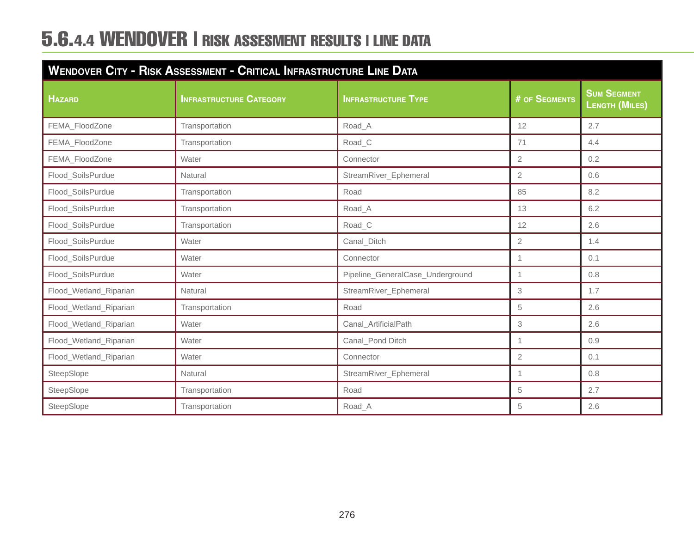# 5.6.4.4 WENDOVER | RISK ASSESMENT RESULTS | LINE DATA

| WENDOVER CITY - RISK ASSESSMENT - CRITICAL INFRASTRUCTURE LINE DATA |                                |                                  |                      |                                      |  |  |  |
|---------------------------------------------------------------------|--------------------------------|----------------------------------|----------------------|--------------------------------------|--|--|--|
| <b>HAZARD</b>                                                       | <b>INFRASTRUCTURE CATEGORY</b> | <b>INFRASTRUCTURE TYPE</b>       | <b># OF SEGMENTS</b> | <b>SUM SEGMENT</b><br>LENGTH (MILES) |  |  |  |
| FEMA_FloodZone                                                      | Transportation                 | Road_A                           | 12                   | 2.7                                  |  |  |  |
| FEMA_FloodZone                                                      | Transportation                 | Road_C                           | 71                   | 4.4                                  |  |  |  |
| FEMA_FloodZone                                                      | Water                          | Connector                        | $\overline{2}$       | 0.2                                  |  |  |  |
| Flood_SoilsPurdue                                                   | Natural                        | StreamRiver_Ephemeral            | $\overline{2}$       | 0.6                                  |  |  |  |
| Flood_SoilsPurdue                                                   | Transportation                 | Road                             | 85                   | 8.2                                  |  |  |  |
| Flood_SoilsPurdue                                                   | Transportation                 | Road_A                           | 13                   | 6.2                                  |  |  |  |
| Flood_SoilsPurdue                                                   | Transportation                 | Road_C                           | 12                   | 2.6                                  |  |  |  |
| Flood_SoilsPurdue                                                   | Water                          | Canal_Ditch                      | $\overline{2}$       | 1.4                                  |  |  |  |
| Flood_SoilsPurdue                                                   | Water                          | Connector                        | $\mathbf 1$          | 0.1                                  |  |  |  |
| Flood_SoilsPurdue                                                   | Water                          | Pipeline_GeneralCase_Underground | 1                    | 0.8                                  |  |  |  |
| Flood_Wetland_Riparian                                              | Natural                        | StreamRiver_Ephemeral            | 3                    | 1.7                                  |  |  |  |
| Flood_Wetland_Riparian                                              | Transportation                 | Road                             | 5                    | 2.6                                  |  |  |  |
| Flood_Wetland_Riparian                                              | Water                          | Canal_ArtificialPath             | 3                    | 2.6                                  |  |  |  |
| Flood_Wetland_Riparian                                              | Water                          | Canal_Pond Ditch                 | $\mathbf{1}$         | 0.9                                  |  |  |  |
| Flood_Wetland_Riparian                                              | Water                          | Connector                        | $\overline{2}$       | 0.1                                  |  |  |  |
| SteepSlope                                                          | Natural                        | StreamRiver_Ephemeral            | 1                    | 0.8                                  |  |  |  |
| SteepSlope                                                          | Transportation                 | Road                             | 5                    | 2.7                                  |  |  |  |
| SteepSlope                                                          | Transportation                 | Road A                           | 5                    | 2.6                                  |  |  |  |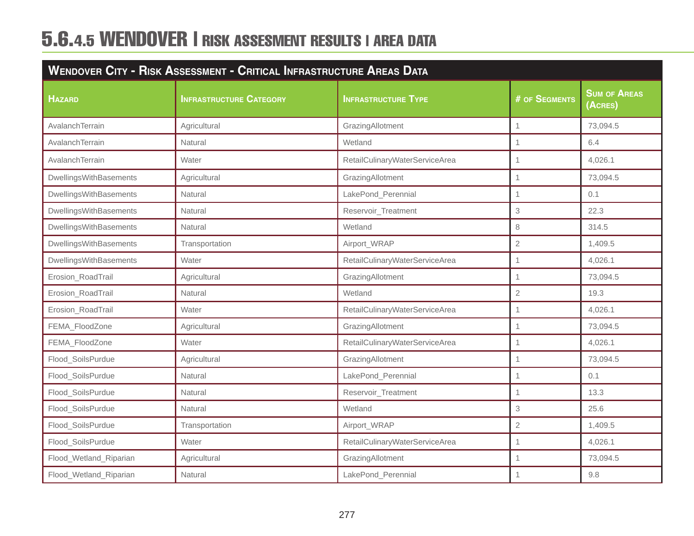# 5.6.4.5 WENDOVER | RISK ASSESMENT RESULTS | AREA DATA

| <b>WENDOVER CITY - RISK ASSESSMENT - CRITICAL INFRASTRUCTURE AREAS DATA</b> |                                |                                |                |                                |  |  |  |
|-----------------------------------------------------------------------------|--------------------------------|--------------------------------|----------------|--------------------------------|--|--|--|
| <b>HAZARD</b>                                                               | <b>INFRASTRUCTURE CATEGORY</b> | <b>INFRASTRUCTURE TYPE</b>     | # OF SEGMENTS  | <b>SUM OF AREAS</b><br>(ACRES) |  |  |  |
| AvalanchTerrain                                                             | Agricultural                   | GrazingAllotment               | $\mathbf{1}$   | 73,094.5                       |  |  |  |
| AvalanchTerrain                                                             | Natural                        | Wetland                        | $\overline{1}$ | 6.4                            |  |  |  |
| AvalanchTerrain                                                             | Water                          | RetailCulinaryWaterServiceArea | 1              | 4,026.1                        |  |  |  |
| DwellingsWithBasements                                                      | Agricultural                   | GrazingAllotment               | 1              | 73,094.5                       |  |  |  |
| DwellingsWithBasements                                                      | Natural                        | LakePond_Perennial             | $\overline{1}$ | 0.1                            |  |  |  |
| DwellingsWithBasements                                                      | Natural                        | Reservoir_Treatment            | 3              | 22.3                           |  |  |  |
| DwellingsWithBasements                                                      | Natural                        | Wetland                        | 8              | 314.5                          |  |  |  |
| DwellingsWithBasements                                                      | Transportation                 | Airport_WRAP                   | $\overline{2}$ | 1,409.5                        |  |  |  |
| DwellingsWithBasements                                                      | Water                          | RetailCulinaryWaterServiceArea | 1              | 4,026.1                        |  |  |  |
| Erosion_RoadTrail                                                           | Agricultural                   | GrazingAllotment               | 1              | 73,094.5                       |  |  |  |
| Erosion_RoadTrail                                                           | Natural                        | Wetland                        | $\overline{2}$ | 19.3                           |  |  |  |
| Erosion_RoadTrail                                                           | Water                          | RetailCulinaryWaterServiceArea | $\mathbf{1}$   | 4,026.1                        |  |  |  |
| FEMA_FloodZone                                                              | Agricultural                   | GrazingAllotment               | $\mathbf{1}$   | 73,094.5                       |  |  |  |
| FEMA_FloodZone                                                              | Water                          | RetailCulinaryWaterServiceArea | $\mathbf{1}$   | 4,026.1                        |  |  |  |
| Flood_SoilsPurdue                                                           | Agricultural                   | GrazingAllotment               | 1              | 73,094.5                       |  |  |  |
| Flood_SoilsPurdue                                                           | Natural                        | LakePond_Perennial             | $\overline{1}$ | 0.1                            |  |  |  |
| Flood_SoilsPurdue                                                           | Natural                        | Reservoir_Treatment            | 1              | 13.3                           |  |  |  |
| Flood_SoilsPurdue                                                           | Natural                        | Wetland                        | 3              | 25.6                           |  |  |  |
| Flood_SoilsPurdue                                                           | Transportation                 | Airport_WRAP                   | $\overline{2}$ | 1,409.5                        |  |  |  |
| Flood_SoilsPurdue                                                           | Water                          | RetailCulinaryWaterServiceArea | 1              | 4,026.1                        |  |  |  |
| Flood_Wetland_Riparian                                                      | Agricultural                   | GrazingAllotment               | 1              | 73,094.5                       |  |  |  |
| Flood_Wetland_Riparian                                                      | Natural                        | LakePond_Perennial             |                | 9.8                            |  |  |  |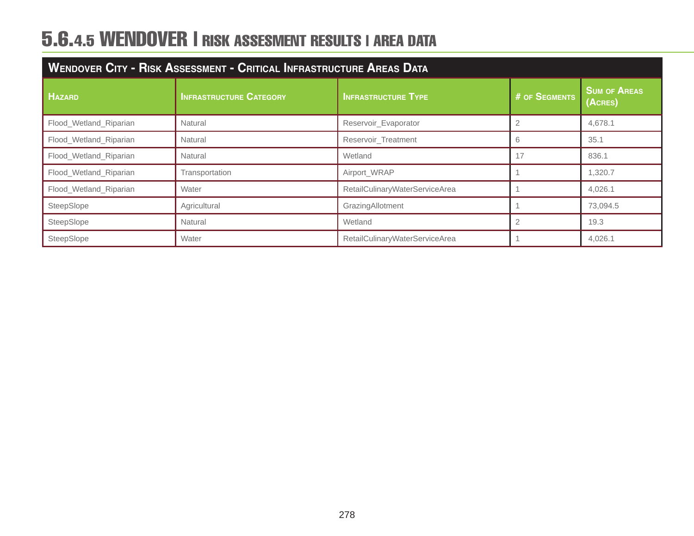# 5.6.4.5 WENDOVER | RISK ASSESMENT RESULTS | AREA DATA

| WENDOVER CITY - RISK ASSESSMENT - CRITICAL INFRASTRUCTURE AREAS DATA |                                |                                |               |                                |  |  |  |
|----------------------------------------------------------------------|--------------------------------|--------------------------------|---------------|--------------------------------|--|--|--|
| <b>HAZARD</b>                                                        | <b>INFRASTRUCTURE CATEGORY</b> | <b>INFRASTRUCTURE TYPE</b>     | # OF SEGMENTS | <b>SUM OF AREAS</b><br>(ACRES) |  |  |  |
| Flood_Wetland_Riparian                                               | Natural                        | Reservoir_Evaporator           |               | 4,678.1                        |  |  |  |
| Flood_Wetland_Riparian                                               | Natural                        | Reservoir_Treatment            | 6             | 35.1                           |  |  |  |
| Flood Wetland Riparian                                               | Natural                        | Wetland                        | 17            | 836.1                          |  |  |  |
| Flood_Wetland_Riparian                                               | Transportation                 | Airport_WRAP                   |               | 1,320.7                        |  |  |  |
| Flood_Wetland_Riparian                                               | Water                          | RetailCulinaryWaterServiceArea |               | 4,026.1                        |  |  |  |
| SteepSlope                                                           | Agricultural                   | GrazingAllotment               |               | 73,094.5                       |  |  |  |
| SteepSlope                                                           | Natural                        | Wetland                        |               | 19.3                           |  |  |  |
| SteepSlope                                                           | Water                          | RetailCulinaryWaterServiceArea |               | 4,026.1                        |  |  |  |